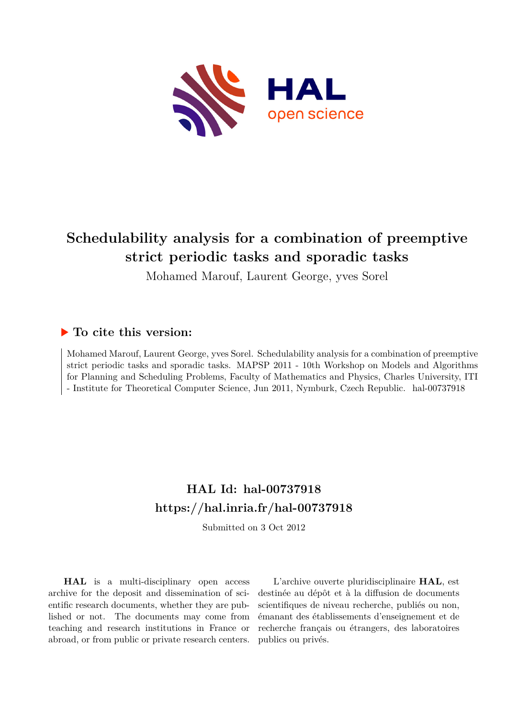

# **Schedulability analysis for a combination of preemptive strict periodic tasks and sporadic tasks**

Mohamed Marouf, Laurent George, yves Sorel

## **To cite this version:**

Mohamed Marouf, Laurent George, yves Sorel. Schedulability analysis for a combination of preemptive strict periodic tasks and sporadic tasks. MAPSP 2011 - 10th Workshop on Models and Algorithms for Planning and Scheduling Problems, Faculty of Mathematics and Physics, Charles University, ITI - Institute for Theoretical Computer Science, Jun 2011, Nymburk, Czech Republic. hal-00737918

## **HAL Id: hal-00737918 <https://hal.inria.fr/hal-00737918>**

Submitted on 3 Oct 2012

**HAL** is a multi-disciplinary open access archive for the deposit and dissemination of scientific research documents, whether they are published or not. The documents may come from teaching and research institutions in France or abroad, or from public or private research centers.

L'archive ouverte pluridisciplinaire **HAL**, est destinée au dépôt et à la diffusion de documents scientifiques de niveau recherche, publiés ou non, émanant des établissements d'enseignement et de recherche français ou étrangers, des laboratoires publics ou privés.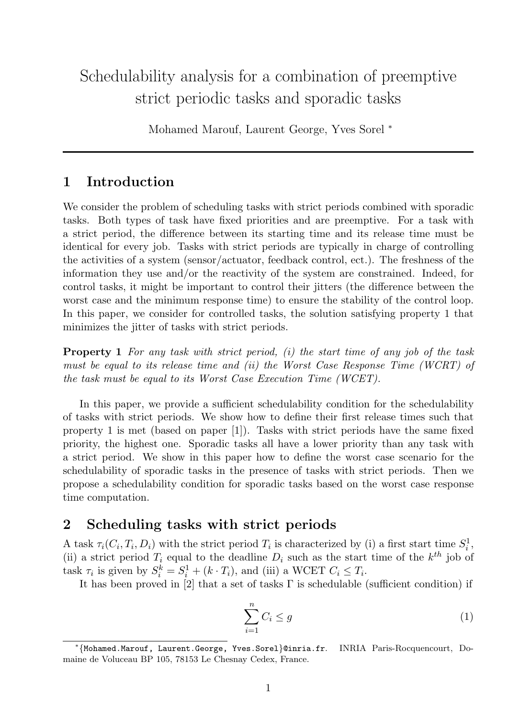## Schedulability analysis for a combination of preemptive strict periodic tasks and sporadic tasks

Mohamed Marouf, Laurent George, Yves Sorel <sup>∗</sup>

### 1 Introduction

We consider the problem of scheduling tasks with strict periods combined with sporadic tasks. Both types of task have fixed priorities and are preemptive. For a task with a strict period, the difference between its starting time and its release time must be identical for every job. Tasks with strict periods are typically in charge of controlling the activities of a system (sensor/actuator, feedback control, ect.). The freshness of the information they use and/or the reactivity of the system are constrained. Indeed, for control tasks, it might be important to control their jitters (the difference between the worst case and the minimum response time) to ensure the stability of the control loop. In this paper, we consider for controlled tasks, the solution satisfying property 1 that minimizes the jitter of tasks with strict periods.

**Property 1** For any task with strict period,  $(i)$  the start time of any job of the task must be equal to its release time and (ii) the Worst Case Response Time (WCRT) of the task must be equal to its Worst Case Execution Time (WCET).

In this paper, we provide a sufficient schedulability condition for the schedulability of tasks with strict periods. We show how to define their first release times such that property 1 is met (based on paper [1]). Tasks with strict periods have the same fixed priority, the highest one. Sporadic tasks all have a lower priority than any task with a strict period. We show in this paper how to define the worst case scenario for the schedulability of sporadic tasks in the presence of tasks with strict periods. Then we propose a schedulability condition for sporadic tasks based on the worst case response time computation.

### 2 Scheduling tasks with strict periods

A task  $\tau_i(C_i, T_i, D_i)$  with the strict period  $T_i$  is characterized by (i) a first start time  $S_i^1$  $\frac{1}{i}$ , (ii) a strict period  $T_i$  equal to the deadline  $D_i$  such as the start time of the  $k^{th}$  job of task  $\tau_i$  is given by  $S_i^k = S_i^1 + (k \cdot T_i)$ , and (iii) a WCET  $C_i \leq T_i$ .

It has been proved in [2] that a set of tasks Γ is schedulable (sufficient condition) if

$$
\sum_{i=1}^{n} C_i \le g \tag{1}
$$

<sup>∗</sup> {Mohamed.Marouf, Laurent.George, Yves.Sorel}@inria.fr. INRIA Paris-Rocquencourt, Domaine de Voluceau BP 105, 78153 Le Chesnay Cedex, France.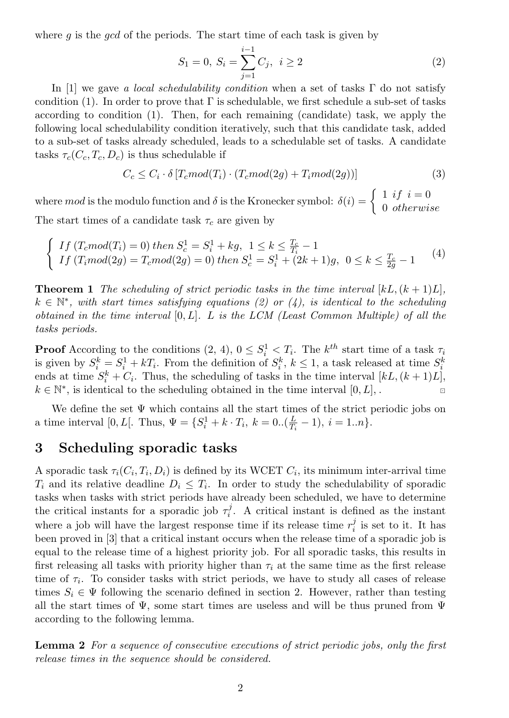where q is the  $qcd$  of the periods. The start time of each task is given by

$$
S_1 = 0, S_i = \sum_{j=1}^{i-1} C_j, i \ge 2
$$
\n(2)

In [1] we gave a local schedulability condition when a set of tasks  $\Gamma$  do not satisfy condition (1). In order to prove that  $\Gamma$  is schedulable, we first schedule a sub-set of tasks according to condition (1). Then, for each remaining (candidate) task, we apply the following local schedulability condition iteratively, such that this candidate task, added to a sub-set of tasks already scheduled, leads to a schedulable set of tasks. A candidate tasks  $\tau_c(C_c, T_c, D_c)$  is thus schedulable if

$$
C_c \leq C_i \cdot \delta \left[ T_c mod(T_i) \cdot (T_c mod(2g) + T_i mod(2g)) \right] \tag{3}
$$

where mod is the modulo function and  $\delta$  is the Kronecker symbol:  $\delta(i) = \begin{cases} 1 & \text{if } i = 0 \\ 0 & \text{if } k \text{ even} \end{cases}$ 0 otherwise The start times of a candidate task  $\tau_c$  are given by

$$
\begin{cases}\nIf (T_c mod(T_i) = 0) then S_c^1 = S_i^1 + kg, \ 1 \le k \le \frac{T_c}{T_i} - 1 \\
If (T_i mod(2g) = T_c mod(2g) = 0) then S_c^1 = S_i^1 + (2k+1)g, \ 0 \le k \le \frac{T_c}{2g} - 1\n\end{cases} (4)
$$

**Theorem 1** The scheduling of strict periodic tasks in the time interval  $[kL, (k+1)L]$ .  $k \in \mathbb{N}^*$ , with start times satisfying equations (2) or (4), is identical to the scheduling obtained in the time interval  $[0, L]$ . L is the LCM (Least Common Multiple) of all the tasks periods.

**Proof** According to the conditions  $(2, 4)$ ,  $0 \leq S_i^1 \leq T_i$ . The  $k^{th}$  start time of a task  $\tau_i$ is given by  $S_i^k = S_i^1 + kT_i$ . From the definition of  $S_i^k$ ,  $k \le 1$ , a task released at time  $S_i^k$ ends at time  $S_i^k + C_i$ . Thus, the scheduling of tasks in the time interval  $[kL, (k+1)L]$ ,  $k \in \mathbb{N}^*$ , is identical to the scheduling obtained in the time interval  $[0, L]$ , .

We define the set  $\Psi$  which contains all the start times of the strict periodic jobs on a time interval [0, L[. Thus,  $\Psi = \{S_i^1 + k \cdot T_i, k = 0..\left(\frac{L}{T_i}\right)$  $\frac{L}{T_i} - 1$ ,  $i = 1..n$ .

#### 3 Scheduling sporadic tasks

A sporadic task  $\tau_i(C_i, T_i, D_i)$  is defined by its WCET  $C_i$ , its minimum inter-arrival time  $T_i$  and its relative deadline  $D_i \leq T_i$ . In order to study the schedulability of sporadic tasks when tasks with strict periods have already been scheduled, we have to determine the critical instants for a sporadic job  $\tau_i^j$  $i<sub>i</sub>$ . A critical instant is defined as the instant where a job will have the largest response time if its release time  $r_i^j$  $\frac{J}{i}$  is set to it. It has been proved in [3] that a critical instant occurs when the release time of a sporadic job is equal to the release time of a highest priority job. For all sporadic tasks, this results in first releasing all tasks with priority higher than  $\tau_i$  at the same time as the first release time of  $\tau_i$ . To consider tasks with strict periods, we have to study all cases of release times  $S_i \in \Psi$  following the scenario defined in section 2. However, rather than testing all the start times of  $\Psi$ , some start times are useless and will be thus pruned from  $\Psi$ according to the following lemma.

Lemma 2 For a sequence of consecutive executions of strict periodic jobs, only the first release times in the sequence should be considered.